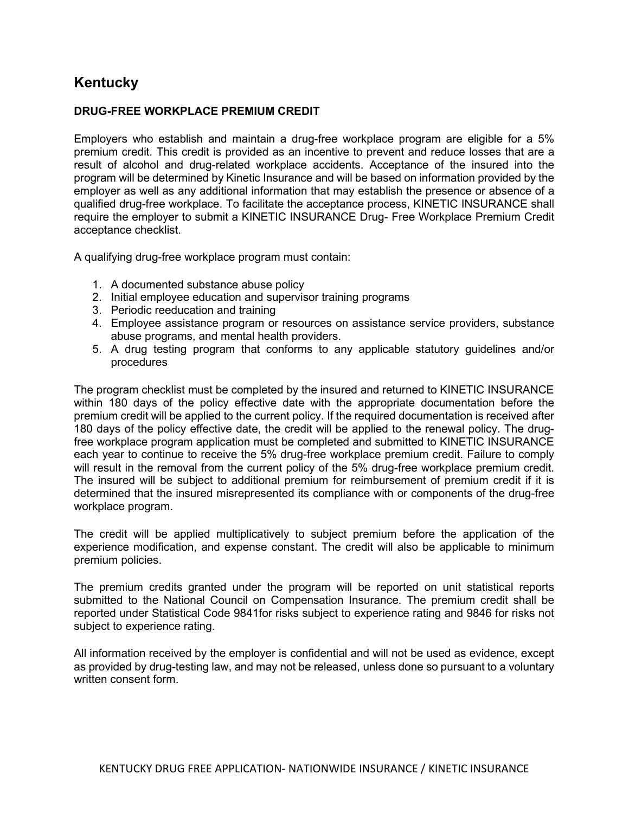## **Kentucky**

## DRUG-FREE WORKPLACE PREMIUM CREDIT

Employers who establish and maintain a drug-free workplace program are eligible for a 5% premium credit. This credit is provided as an incentive to prevent and reduce losses that are a result of alcohol and drug-related workplace accidents. Acceptance of the insured into the program will be determined by Kinetic Insurance and will be based on information provided by the employer as well as any additional information that may establish the presence or absence of a qualified drug-free workplace. To facilitate the acceptance process, KINETIC INSURANCE shall require the employer to submit a KINETIC INSURANCE Drug- Free Workplace Premium Credit acceptance checklist.

A qualifying drug-free workplace program must contain:

- 1. A documented substance abuse policy
- 2. Initial employee education and supervisor training programs
- 3. Periodic reeducation and training
- 4. Employee assistance program or resources on assistance service providers, substance abuse programs, and mental health providers.
- 5. A drug testing program that conforms to any applicable statutory guidelines and/or procedures

The program checklist must be completed by the insured and returned to KINETIC INSURANCE within 180 days of the policy effective date with the appropriate documentation before the premium credit will be applied to the current policy. If the required documentation is received after 180 days of the policy effective date, the credit will be applied to the renewal policy. The drugfree workplace program application must be completed and submitted to KINETIC INSURANCE each year to continue to receive the 5% drug-free workplace premium credit. Failure to comply will result in the removal from the current policy of the 5% drug-free workplace premium credit. The insured will be subject to additional premium for reimbursement of premium credit if it is determined that the insured misrepresented its compliance with or components of the drug-free workplace program.

The credit will be applied multiplicatively to subject premium before the application of the experience modification, and expense constant. The credit will also be applicable to minimum premium policies.

The premium credits granted under the program will be reported on unit statistical reports submitted to the National Council on Compensation Insurance. The premium credit shall be reported under Statistical Code 9841for risks subject to experience rating and 9846 for risks not subject to experience rating.

All information received by the employer is confidential and will not be used as evidence, except as provided by drug-testing law, and may not be released, unless done so pursuant to a voluntary written consent form.